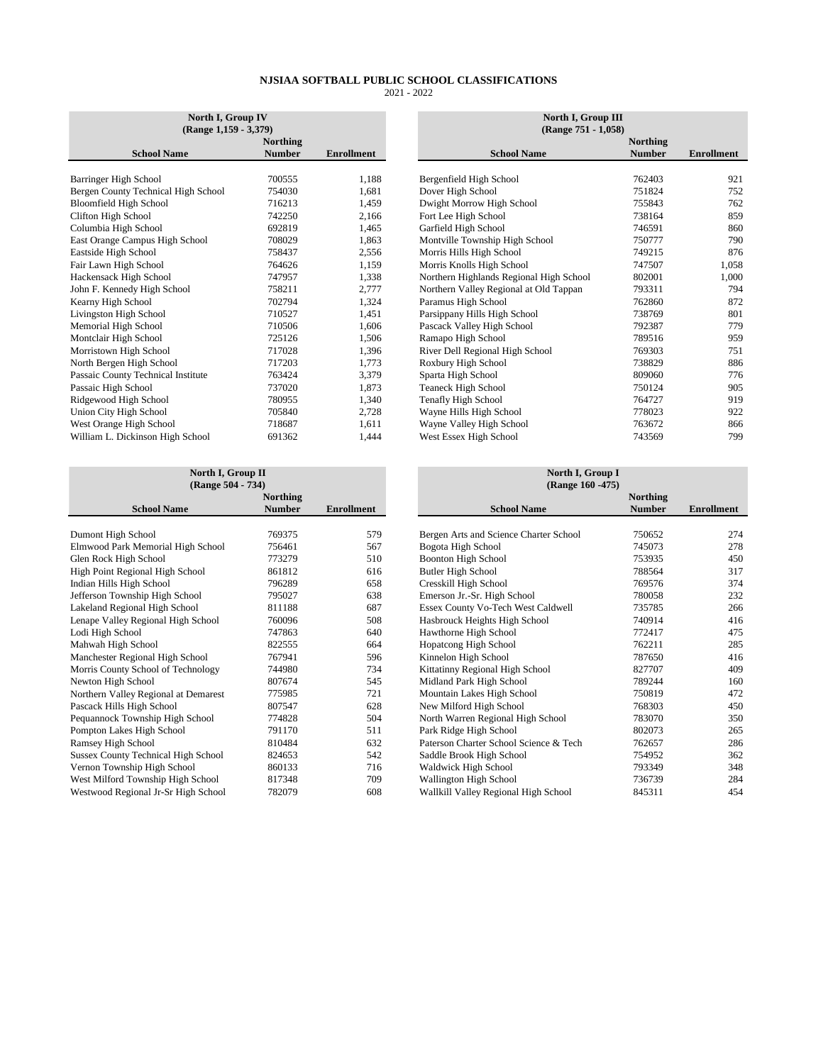| North I, Group IV<br>(Range 1,159 - 3,379) |               |                   |  |  |  |
|--------------------------------------------|---------------|-------------------|--|--|--|
|                                            | Northing      |                   |  |  |  |
| <b>School Name</b>                         | <b>Number</b> | <b>Enrollment</b> |  |  |  |
|                                            |               |                   |  |  |  |
| Barringer High School                      | 700555        | 1,188             |  |  |  |
| Bergen County Technical High School        | 754030        | 1,681             |  |  |  |
| <b>Bloomfield High School</b>              | 716213        | 1,459             |  |  |  |
| Clifton High School                        | 742250        | 2,166             |  |  |  |
| Columbia High School                       | 692819        | 1,465             |  |  |  |
| East Orange Campus High School             | 708029        | 1,863             |  |  |  |
| Eastside High School                       | 758437        | 2,556             |  |  |  |
| Fair Lawn High School                      | 764626        | 1,159             |  |  |  |
| Hackensack High School                     | 747957        | 1,338             |  |  |  |
| John F. Kennedy High School                | 758211        | 2,777             |  |  |  |
| Kearny High School                         | 702794        | 1,324             |  |  |  |
| Livingston High School                     | 710527        | 1,451             |  |  |  |
| Memorial High School                       | 710506        | 1,606             |  |  |  |
| Montclair High School                      | 725126        | 1,506             |  |  |  |
| Morristown High School                     | 717028        | 1,396             |  |  |  |
| North Bergen High School                   | 717203        | 1,773             |  |  |  |
| Passaic County Technical Institute         | 763424        | 3,379             |  |  |  |
| Passaic High School                        | 737020        | 1,873             |  |  |  |
| Ridgewood High School                      | 780955        | 1,340             |  |  |  |
| Union City High School                     | 705840        | 2,728             |  |  |  |
| West Orange High School                    | 718687        | 1,611             |  |  |  |
| William L. Dickinson High School           | 691362        | 1,444             |  |  |  |

| North I, Group II<br>(Range 504 - 734)     |               |                   |  |  |  |  |
|--------------------------------------------|---------------|-------------------|--|--|--|--|
|                                            | Northing      |                   |  |  |  |  |
| <b>School Name</b>                         | <b>Number</b> | <b>Enrollment</b> |  |  |  |  |
|                                            |               |                   |  |  |  |  |
| Dumont High School                         | 769375        | 579               |  |  |  |  |
| Elmwood Park Memorial High School          | 756461        | 567               |  |  |  |  |
| Glen Rock High School                      | 773279        | 510               |  |  |  |  |
| High Point Regional High School            | 861812        | 616               |  |  |  |  |
| Indian Hills High School                   | 796289        | 658               |  |  |  |  |
| Jefferson Township High School             | 795027        | 638               |  |  |  |  |
| Lakeland Regional High School              | 811188        | 687               |  |  |  |  |
| Lenape Valley Regional High School         | 760096        | 508               |  |  |  |  |
| Lodi High School                           | 747863        | 640               |  |  |  |  |
| Mahwah High School                         | 822555        | 664               |  |  |  |  |
| Manchester Regional High School            | 767941        | 596               |  |  |  |  |
| Morris County School of Technology         | 744980        | 734               |  |  |  |  |
| Newton High School                         | 807674        | 545               |  |  |  |  |
| Northern Valley Regional at Demarest       | 775985        | 721               |  |  |  |  |
| Pascack Hills High School                  | 807547        | 628               |  |  |  |  |
| Pequannock Township High School            | 774828        | 504               |  |  |  |  |
| Pompton Lakes High School                  | 791170        | 511               |  |  |  |  |
| Ramsey High School                         | 810484        | 632               |  |  |  |  |
| <b>Sussex County Technical High School</b> | 824653        | 542               |  |  |  |  |
| Vernon Township High School                | 860133        | 716               |  |  |  |  |
| West Milford Township High School          | 817348        | 709               |  |  |  |  |
| Westwood Regional Jr-Sr High School        | 782079        | 608               |  |  |  |  |

| North I, Group IV<br>$(Range 1,159 - 3,379)$ |                                  |                   |                                         | North I, Group III<br>(Range 751 - 1,058) |
|----------------------------------------------|----------------------------------|-------------------|-----------------------------------------|-------------------------------------------|
| <b>School Name</b>                           | <b>Northing</b><br><b>Number</b> | <b>Enrollment</b> | <b>School Name</b>                      | Northing<br><b>Number</b>                 |
|                                              |                                  |                   |                                         |                                           |
| Barringer High School                        | 700555                           | 1,188             | Bergenfield High School                 | 762403                                    |
| Bergen County Technical High School          | 754030                           | 1,681             | Dover High School                       | 751824                                    |
| Bloomfield High School                       | 716213                           | 1,459             | Dwight Morrow High School               | 755843                                    |
| Clifton High School                          | 742250                           | 2,166             | Fort Lee High School                    | 738164                                    |
| Columbia High School                         | 692819                           | 1,465             | Garfield High School                    | 746591                                    |
| East Orange Campus High School               | 708029                           | 1,863             | Montville Township High School          | 750777                                    |
| Eastside High School                         | 758437                           | 2,556             | Morris Hills High School                | 749215                                    |
| Fair Lawn High School                        | 764626                           | 1,159             | Morris Knolls High School               | 747507                                    |
| Hackensack High School                       | 747957                           | 1,338             | Northern Highlands Regional High School | 802001                                    |
| John F. Kennedy High School                  | 758211                           | 2,777             | Northern Valley Regional at Old Tappan  | 793311                                    |
| Kearny High School                           | 702794                           | 1,324             | Paramus High School                     | 762860                                    |
| Livingston High School                       | 710527                           | 1,451             | Parsippany Hills High School            | 738769                                    |
| Memorial High School                         | 710506                           | 1,606             | Pascack Valley High School              | 792387                                    |
| Montclair High School                        | 725126                           | 1,506             | Ramapo High School                      | 789516                                    |
| Morristown High School                       | 717028                           | 1,396             | River Dell Regional High School         | 769303                                    |
| North Bergen High School                     | 717203                           | 1.773             | Roxbury High School                     | 738829                                    |
| Passaic County Technical Institute           | 763424                           | 3,379             | Sparta High School                      | 809060                                    |
| Passaic High School                          | 737020                           | 1,873             | <b>Teaneck High School</b>              | 750124                                    |
| Ridgewood High School                        | 780955                           | 1,340             | Tenafly High School                     | 764727                                    |
| Union City High School                       | 705840                           | 2,728             | Wayne Hills High School                 | 778023                                    |
| West Orange High School                      | 718687                           | 1,611             | Wayne Valley High School                | 763672                                    |
| William L. Dickinson High School             | 691362                           | 1,444             | West Essex High School                  | 743569                                    |
|                                              |                                  |                   |                                         |                                           |

| North I, Group II<br>(Range 504 - 734)     |               |                   | North I, Group I<br>(Range 160 - 475)  |               |                   |
|--------------------------------------------|---------------|-------------------|----------------------------------------|---------------|-------------------|
|                                            | Northing      |                   |                                        | Northing      |                   |
| <b>School Name</b>                         | <b>Number</b> | <b>Enrollment</b> | <b>School Name</b>                     | <b>Number</b> | <b>Enrollment</b> |
| Dumont High School                         | 769375        | 579               | Bergen Arts and Science Charter School | 750652        |                   |
| Elmwood Park Memorial High School          | 756461        | 567               | Bogota High School                     | 745073        |                   |
| Glen Rock High School                      | 773279        | 510               | <b>Boonton High School</b>             | 753935        |                   |
| High Point Regional High School            | 861812        | 616               | <b>Butler High School</b>              | 788564        |                   |
| Indian Hills High School                   | 796289        | 658               | Cresskill High School                  | 769576        |                   |
| Jefferson Township High School             | 795027        | 638               | Emerson Jr.-Sr. High School            | 780058        |                   |
| Lakeland Regional High School              | 811188        | 687               | Essex County Vo-Tech West Caldwell     | 735785        |                   |
| Lenape Valley Regional High School         | 760096        | 508               | Hasbrouck Heights High School          | 740914        |                   |
| Lodi High School                           | 747863        | 640               | Hawthorne High School                  | 772417        |                   |
| Mahwah High School                         | 822555        | 664               | Hopatcong High School                  | 762211        |                   |
| Manchester Regional High School            | 767941        | 596               | Kinnelon High School                   | 787650        |                   |
| Morris County School of Technology         | 744980        | 734               | Kittatinny Regional High School        | 827707        |                   |
| Newton High School                         | 807674        | 545               | Midland Park High School               | 789244        |                   |
| Northern Valley Regional at Demarest       | 775985        | 721               | Mountain Lakes High School             | 750819        |                   |
| Pascack Hills High School                  | 807547        | 628               | New Milford High School                | 768303        |                   |
| Pequannock Township High School            | 774828        | 504               | North Warren Regional High School      | 783070        |                   |
| Pompton Lakes High School                  | 791170        | 511               | Park Ridge High School                 | 802073        |                   |
| Ramsey High School                         | 810484        | 632               | Paterson Charter School Science & Tech | 762657        |                   |
| <b>Sussex County Technical High School</b> | 824653        | 542               | Saddle Brook High School               | 754952        |                   |
| Vernon Township High School                | 860133        | 716               | Waldwick High School                   | 793349        |                   |
| West Milford Township High School          | 817348        | 709               | Wallington High School                 | 736739        |                   |
| Westwood Regional Jr-Sr High School        | 782079        | 608               | Wallkill Valley Regional High School   | 845311        |                   |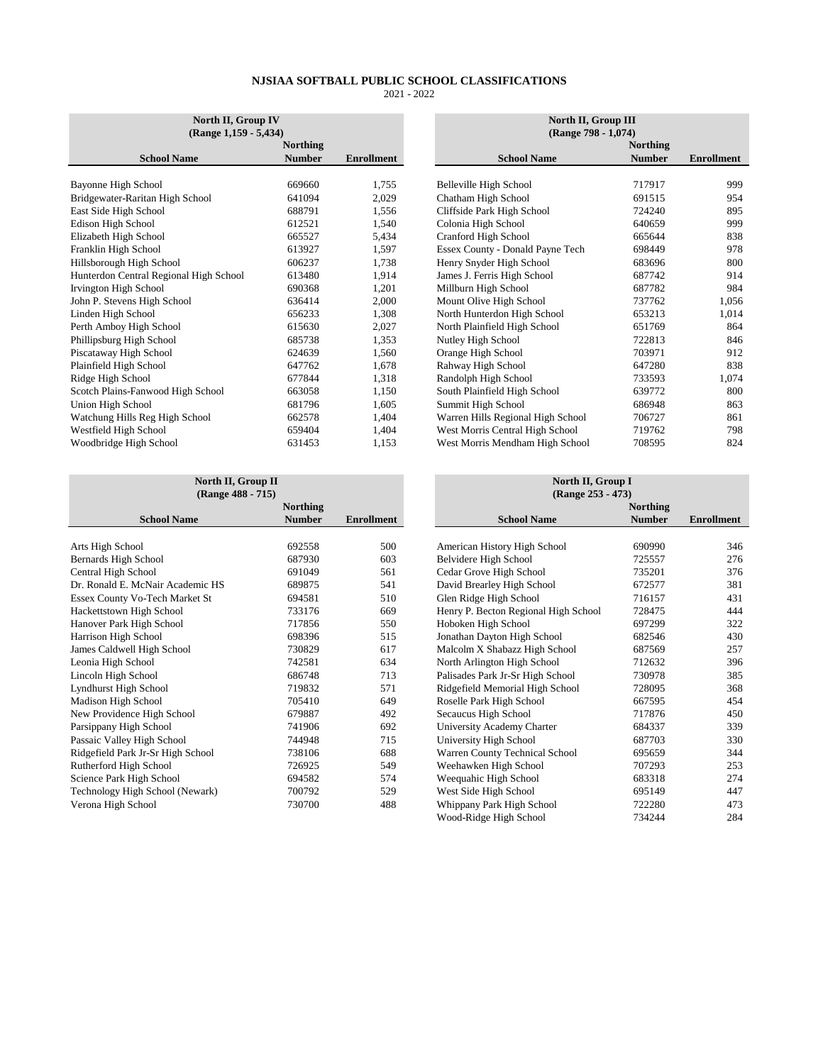| (Range 798 - 1,074)<br><b>Northing</b><br><b>Northing</b><br><b>School Name</b><br><b>Number</b><br><b>Enrollment</b><br><b>School Name</b><br><b>Number</b><br>717917<br>1,755<br>Bayonne High School<br>669660<br>Belleville High School<br>Bridgewater-Raritan High School<br>641094<br>2,029<br>Chatham High School<br>691515<br>East Side High School<br>688791<br>1,556<br>Cliffside Park High School<br>724240<br>Edison High School<br>Colonia High School<br>612521<br>1,540<br>640659<br>Cranford High School<br>Elizabeth High School<br>5,434<br>665527<br>665644<br>Franklin High School<br>613927<br>Essex County - Donald Payne Tech<br>1,597<br>698449<br>Hillsborough High School<br>Henry Snyder High School<br>606237<br>1,738<br>683696<br>Hunterdon Central Regional High School<br>James J. Ferris High School<br>613480<br>1,914<br>687742<br>Millburn High School<br>Irvington High School<br>1,201<br>687782<br>690368<br>636414<br>2,000<br>Mount Olive High School<br>John P. Stevens High School<br>737762<br>Linden High School<br>656233<br>1,308<br>North Hunterdon High School<br>653213<br>Perth Amboy High School<br>615630<br>2,027<br>North Plainfield High School<br>651769<br>Phillipsburg High School<br>685738<br>1,353<br>Nutley High School<br>722813<br>Piscataway High School<br>624639<br>Orange High School<br>703971<br>1,560<br>Rahway High School<br>Plainfield High School<br>647762<br>1,678<br>647280<br>Randolph High School<br>Ridge High School<br>1,318<br>677844<br>733593<br>663058<br>South Plainfield High School<br>Scotch Plains-Fanwood High School<br>1,150<br>639772<br>Union High School<br>681796<br>1,605<br>Summit High School<br>686948<br>Warren Hills Regional High School<br>Watchung Hills Reg High School<br>662578<br>1,404<br>706727<br>West Morris Central High School<br>Westfield High School<br>1,404<br>719762<br>659404 | North II, Group IV<br>(Range 1,159 - 5,434) |  |  | North II, Group III |  |                   |  |
|------------------------------------------------------------------------------------------------------------------------------------------------------------------------------------------------------------------------------------------------------------------------------------------------------------------------------------------------------------------------------------------------------------------------------------------------------------------------------------------------------------------------------------------------------------------------------------------------------------------------------------------------------------------------------------------------------------------------------------------------------------------------------------------------------------------------------------------------------------------------------------------------------------------------------------------------------------------------------------------------------------------------------------------------------------------------------------------------------------------------------------------------------------------------------------------------------------------------------------------------------------------------------------------------------------------------------------------------------------------------------------------------------------------------------------------------------------------------------------------------------------------------------------------------------------------------------------------------------------------------------------------------------------------------------------------------------------------------------------------------------------------------------------------------------------------------------------------------------------------------------------------------------------|---------------------------------------------|--|--|---------------------|--|-------------------|--|
|                                                                                                                                                                                                                                                                                                                                                                                                                                                                                                                                                                                                                                                                                                                                                                                                                                                                                                                                                                                                                                                                                                                                                                                                                                                                                                                                                                                                                                                                                                                                                                                                                                                                                                                                                                                                                                                                                                            |                                             |  |  |                     |  |                   |  |
|                                                                                                                                                                                                                                                                                                                                                                                                                                                                                                                                                                                                                                                                                                                                                                                                                                                                                                                                                                                                                                                                                                                                                                                                                                                                                                                                                                                                                                                                                                                                                                                                                                                                                                                                                                                                                                                                                                            |                                             |  |  |                     |  |                   |  |
|                                                                                                                                                                                                                                                                                                                                                                                                                                                                                                                                                                                                                                                                                                                                                                                                                                                                                                                                                                                                                                                                                                                                                                                                                                                                                                                                                                                                                                                                                                                                                                                                                                                                                                                                                                                                                                                                                                            |                                             |  |  |                     |  | <b>Enrollment</b> |  |
|                                                                                                                                                                                                                                                                                                                                                                                                                                                                                                                                                                                                                                                                                                                                                                                                                                                                                                                                                                                                                                                                                                                                                                                                                                                                                                                                                                                                                                                                                                                                                                                                                                                                                                                                                                                                                                                                                                            |                                             |  |  |                     |  | 999               |  |
|                                                                                                                                                                                                                                                                                                                                                                                                                                                                                                                                                                                                                                                                                                                                                                                                                                                                                                                                                                                                                                                                                                                                                                                                                                                                                                                                                                                                                                                                                                                                                                                                                                                                                                                                                                                                                                                                                                            |                                             |  |  |                     |  | 954               |  |
|                                                                                                                                                                                                                                                                                                                                                                                                                                                                                                                                                                                                                                                                                                                                                                                                                                                                                                                                                                                                                                                                                                                                                                                                                                                                                                                                                                                                                                                                                                                                                                                                                                                                                                                                                                                                                                                                                                            |                                             |  |  |                     |  | 895               |  |
|                                                                                                                                                                                                                                                                                                                                                                                                                                                                                                                                                                                                                                                                                                                                                                                                                                                                                                                                                                                                                                                                                                                                                                                                                                                                                                                                                                                                                                                                                                                                                                                                                                                                                                                                                                                                                                                                                                            |                                             |  |  |                     |  | 999               |  |
|                                                                                                                                                                                                                                                                                                                                                                                                                                                                                                                                                                                                                                                                                                                                                                                                                                                                                                                                                                                                                                                                                                                                                                                                                                                                                                                                                                                                                                                                                                                                                                                                                                                                                                                                                                                                                                                                                                            |                                             |  |  |                     |  | 838               |  |
|                                                                                                                                                                                                                                                                                                                                                                                                                                                                                                                                                                                                                                                                                                                                                                                                                                                                                                                                                                                                                                                                                                                                                                                                                                                                                                                                                                                                                                                                                                                                                                                                                                                                                                                                                                                                                                                                                                            |                                             |  |  |                     |  | 978               |  |
|                                                                                                                                                                                                                                                                                                                                                                                                                                                                                                                                                                                                                                                                                                                                                                                                                                                                                                                                                                                                                                                                                                                                                                                                                                                                                                                                                                                                                                                                                                                                                                                                                                                                                                                                                                                                                                                                                                            |                                             |  |  |                     |  | 800               |  |
|                                                                                                                                                                                                                                                                                                                                                                                                                                                                                                                                                                                                                                                                                                                                                                                                                                                                                                                                                                                                                                                                                                                                                                                                                                                                                                                                                                                                                                                                                                                                                                                                                                                                                                                                                                                                                                                                                                            |                                             |  |  |                     |  | 914               |  |
|                                                                                                                                                                                                                                                                                                                                                                                                                                                                                                                                                                                                                                                                                                                                                                                                                                                                                                                                                                                                                                                                                                                                                                                                                                                                                                                                                                                                                                                                                                                                                                                                                                                                                                                                                                                                                                                                                                            |                                             |  |  |                     |  | 984               |  |
|                                                                                                                                                                                                                                                                                                                                                                                                                                                                                                                                                                                                                                                                                                                                                                                                                                                                                                                                                                                                                                                                                                                                                                                                                                                                                                                                                                                                                                                                                                                                                                                                                                                                                                                                                                                                                                                                                                            |                                             |  |  |                     |  | 1,056             |  |
|                                                                                                                                                                                                                                                                                                                                                                                                                                                                                                                                                                                                                                                                                                                                                                                                                                                                                                                                                                                                                                                                                                                                                                                                                                                                                                                                                                                                                                                                                                                                                                                                                                                                                                                                                                                                                                                                                                            |                                             |  |  |                     |  | 1,014             |  |
|                                                                                                                                                                                                                                                                                                                                                                                                                                                                                                                                                                                                                                                                                                                                                                                                                                                                                                                                                                                                                                                                                                                                                                                                                                                                                                                                                                                                                                                                                                                                                                                                                                                                                                                                                                                                                                                                                                            |                                             |  |  |                     |  | 864               |  |
|                                                                                                                                                                                                                                                                                                                                                                                                                                                                                                                                                                                                                                                                                                                                                                                                                                                                                                                                                                                                                                                                                                                                                                                                                                                                                                                                                                                                                                                                                                                                                                                                                                                                                                                                                                                                                                                                                                            |                                             |  |  |                     |  | 846               |  |
|                                                                                                                                                                                                                                                                                                                                                                                                                                                                                                                                                                                                                                                                                                                                                                                                                                                                                                                                                                                                                                                                                                                                                                                                                                                                                                                                                                                                                                                                                                                                                                                                                                                                                                                                                                                                                                                                                                            |                                             |  |  |                     |  | 912               |  |
|                                                                                                                                                                                                                                                                                                                                                                                                                                                                                                                                                                                                                                                                                                                                                                                                                                                                                                                                                                                                                                                                                                                                                                                                                                                                                                                                                                                                                                                                                                                                                                                                                                                                                                                                                                                                                                                                                                            |                                             |  |  |                     |  | 838               |  |
|                                                                                                                                                                                                                                                                                                                                                                                                                                                                                                                                                                                                                                                                                                                                                                                                                                                                                                                                                                                                                                                                                                                                                                                                                                                                                                                                                                                                                                                                                                                                                                                                                                                                                                                                                                                                                                                                                                            |                                             |  |  |                     |  | 1,074             |  |
|                                                                                                                                                                                                                                                                                                                                                                                                                                                                                                                                                                                                                                                                                                                                                                                                                                                                                                                                                                                                                                                                                                                                                                                                                                                                                                                                                                                                                                                                                                                                                                                                                                                                                                                                                                                                                                                                                                            |                                             |  |  |                     |  | 800               |  |
|                                                                                                                                                                                                                                                                                                                                                                                                                                                                                                                                                                                                                                                                                                                                                                                                                                                                                                                                                                                                                                                                                                                                                                                                                                                                                                                                                                                                                                                                                                                                                                                                                                                                                                                                                                                                                                                                                                            |                                             |  |  |                     |  | 863               |  |
|                                                                                                                                                                                                                                                                                                                                                                                                                                                                                                                                                                                                                                                                                                                                                                                                                                                                                                                                                                                                                                                                                                                                                                                                                                                                                                                                                                                                                                                                                                                                                                                                                                                                                                                                                                                                                                                                                                            |                                             |  |  |                     |  | 861               |  |
|                                                                                                                                                                                                                                                                                                                                                                                                                                                                                                                                                                                                                                                                                                                                                                                                                                                                                                                                                                                                                                                                                                                                                                                                                                                                                                                                                                                                                                                                                                                                                                                                                                                                                                                                                                                                                                                                                                            |                                             |  |  |                     |  | 798               |  |
| Woodbridge High School<br>631453<br>1,153<br>West Morris Mendham High School<br>708595                                                                                                                                                                                                                                                                                                                                                                                                                                                                                                                                                                                                                                                                                                                                                                                                                                                                                                                                                                                                                                                                                                                                                                                                                                                                                                                                                                                                                                                                                                                                                                                                                                                                                                                                                                                                                     |                                             |  |  |                     |  | 824               |  |

| North II, Group IV<br>Range 1,159 - 5,434) |                 |                   | North II, Group III<br>(Range 798 - 1,074) |                 |                   |
|--------------------------------------------|-----------------|-------------------|--------------------------------------------|-----------------|-------------------|
|                                            | <b>Northing</b> |                   |                                            | <b>Northing</b> |                   |
| e                                          | <b>Number</b>   | <b>Enrollment</b> | <b>School Name</b>                         | <b>Number</b>   | <b>Enrollment</b> |
|                                            |                 |                   |                                            |                 |                   |
|                                            | 669660          | 1.755             | Belleville High School                     | 717917          | 999               |
| hool                                       | 641094          | 2,029             | Chatham High School                        | 691515          | 954               |
|                                            | 688791          | 1.556             | Cliffside Park High School                 | 724240          | 895               |
|                                            | 612521          | 1,540             | Colonia High School                        | 640659          | 999               |
|                                            | 665527          | 5,434             | Cranford High School                       | 665644          | 838               |
|                                            | 613927          | 1,597             | Essex County - Donald Payne Tech           | 698449          | 978               |
|                                            | 606237          | 1,738             | Henry Snyder High School                   | 683696          | 800               |
| High School                                | 613480          | 1.914             | James J. Ferris High School                | 687742          | 914               |
|                                            | 690368          | 1,201             | Millburn High School                       | 687782          | 984               |
|                                            | 636414          | 2,000             | Mount Olive High School                    | 737762          | 1,056             |
|                                            | 656233          | 1,308             | North Hunterdon High School                | 653213          | 1,014             |
|                                            | 615630          | 2,027             | North Plainfield High School               | 651769          | 864               |
|                                            | 685738          | 1,353             | Nutley High School                         | 722813          | 846               |
|                                            | 624639          | 1,560             | Orange High School                         | 703971          | 912               |
|                                            | 647762          | 1,678             | Rahway High School                         | 647280          | 838               |
|                                            | 677844          | 1,318             | Randolph High School                       | 733593          | 1,074             |
| School                                     | 663058          | 1,150             | South Plainfield High School               | 639772          | 800               |
|                                            | 681796          | 1,605             | Summit High School                         | 686948          | 863               |
| hool                                       | 662578          | 1,404             | Warren Hills Regional High School          | 706727          | 861               |
|                                            | 659404          | 1,404             | West Morris Central High School            | 719762          | 798               |
|                                            | 631453          | 1,153             | West Morris Mendham High School            | 708595          | 824               |
|                                            |                 |                   |                                            |                 |                   |

| North II, Group II<br>(Range 488 - 715) |                 |                   | North II, Group I<br>(Range 253 - 473) |                 |                   |  |
|-----------------------------------------|-----------------|-------------------|----------------------------------------|-----------------|-------------------|--|
|                                         | <b>Northing</b> |                   |                                        | <b>Northing</b> |                   |  |
| <b>School Name</b>                      | <b>Number</b>   | <b>Enrollment</b> | <b>School Name</b>                     | <b>Number</b>   | <b>Enrollment</b> |  |
| Arts High School                        | 692558          | 500               | American History High School           | 690990          | 346               |  |
| Bernards High School                    | 687930          | 603               | Belvidere High School                  | 725557          | 276               |  |
| Central High School                     | 691049          | 561               | Cedar Grove High School                | 735201          | 376               |  |
| Dr. Ronald E. McNair Academic HS        | 689875          | 541               | David Brearley High School             | 672577          | 381               |  |
| Essex County Vo-Tech Market St          | 694581          | 510               | Glen Ridge High School                 | 716157          | 431               |  |
| Hackettstown High School                | 733176          | 669               | Henry P. Becton Regional High School   | 728475          | 444               |  |
| Hanover Park High School                | 717856          | 550               | Hoboken High School                    | 697299          | 322               |  |
| Harrison High School                    | 698396          | 515               | Jonathan Dayton High School            | 682546          | 430               |  |
| James Caldwell High School              | 730829          | 617               | Malcolm X Shabazz High School          | 687569          | 257               |  |
| Leonia High School                      | 742581          | 634               | North Arlington High School            | 712632          | 396               |  |
| Lincoln High School                     | 686748          | 713               | Palisades Park Jr-Sr High School       | 730978          | 385               |  |
| Lyndhurst High School                   | 719832          | 571               | Ridgefield Memorial High School        | 728095          | 368               |  |
| Madison High School                     | 705410          | 649               | Roselle Park High School               | 667595          | 454               |  |
| New Providence High School              | 679887          | 492               | Secaucus High School                   | 717876          | 450               |  |
| Parsippany High School                  | 741906          | 692               | University Academy Charter             | 684337          | 339               |  |
| Passaic Valley High School              | 744948          | 715               | University High School                 | 687703          | 330               |  |
| Ridgefield Park Jr-Sr High School       | 738106          | 688               | Warren County Technical School         | 695659          | 344               |  |
| Rutherford High School                  | 726925          | 549               | Weehawken High School                  | 707293          | 253               |  |
| Science Park High School                | 694582          | 574               | Weequahic High School                  | 683318          | 274               |  |
| Technology High School (Newark)         | 700792          | 529               | West Side High School                  | 695149          | 447               |  |
| Verona High School                      | 730700          | 488               | Whippany Park High School              | 722280          | 473               |  |

|          |                   |                                      | North II, Group I<br>(Range 253 - 473) |                   |  |  |  |
|----------|-------------------|--------------------------------------|----------------------------------------|-------------------|--|--|--|
| Northing |                   |                                      | <b>Northing</b>                        |                   |  |  |  |
| Number   | <b>Enrollment</b> | <b>School Name</b>                   | <b>Number</b>                          | <b>Enrollment</b> |  |  |  |
|          |                   |                                      |                                        |                   |  |  |  |
| 692558   | 500               | American History High School         | 690990                                 | 346               |  |  |  |
| 687930   | 603               | Belvidere High School                | 725557                                 | 276               |  |  |  |
| 691049   | 561               | Cedar Grove High School              | 735201                                 | 376               |  |  |  |
| 689875   | 541               | David Brearley High School           | 672577                                 | 381               |  |  |  |
| 694581   | 510               | Glen Ridge High School               | 716157                                 | 431               |  |  |  |
| 733176   | 669               | Henry P. Becton Regional High School | 728475                                 | 444               |  |  |  |
| 717856   | 550               | Hoboken High School                  | 697299                                 | 322               |  |  |  |
| 698396   | 515               | Jonathan Dayton High School          | 682546                                 | 430               |  |  |  |
| 730829   | 617               | Malcolm X Shabazz High School        | 687569                                 | 257               |  |  |  |
| 742581   | 634               | North Arlington High School          | 712632                                 | 396               |  |  |  |
| 686748   | 713               | Palisades Park Jr-Sr High School     | 730978                                 | 385               |  |  |  |
| 719832   | 571               | Ridgefield Memorial High School      | 728095                                 | 368               |  |  |  |
| 705410   | 649               | Roselle Park High School             | 667595                                 | 454               |  |  |  |
| 679887   | 492               | Secaucus High School                 | 717876                                 | 450               |  |  |  |
| 741906   | 692               | University Academy Charter           | 684337                                 | 339               |  |  |  |
| 744948   | 715               | University High School               | 687703                                 | 330               |  |  |  |
| 738106   | 688               | Warren County Technical School       | 695659                                 | 344               |  |  |  |
| 726925   | 549               | Weehawken High School                | 707293                                 | 253               |  |  |  |
| 694582   | 574               | Weequahic High School                | 683318                                 | 274               |  |  |  |
| 700792   | 529               | West Side High School                | 695149                                 | 447               |  |  |  |
| 730700   | 488               | Whippany Park High School            | 722280                                 | 473               |  |  |  |
|          |                   | Wood-Ridge High School               | 734244                                 | 284               |  |  |  |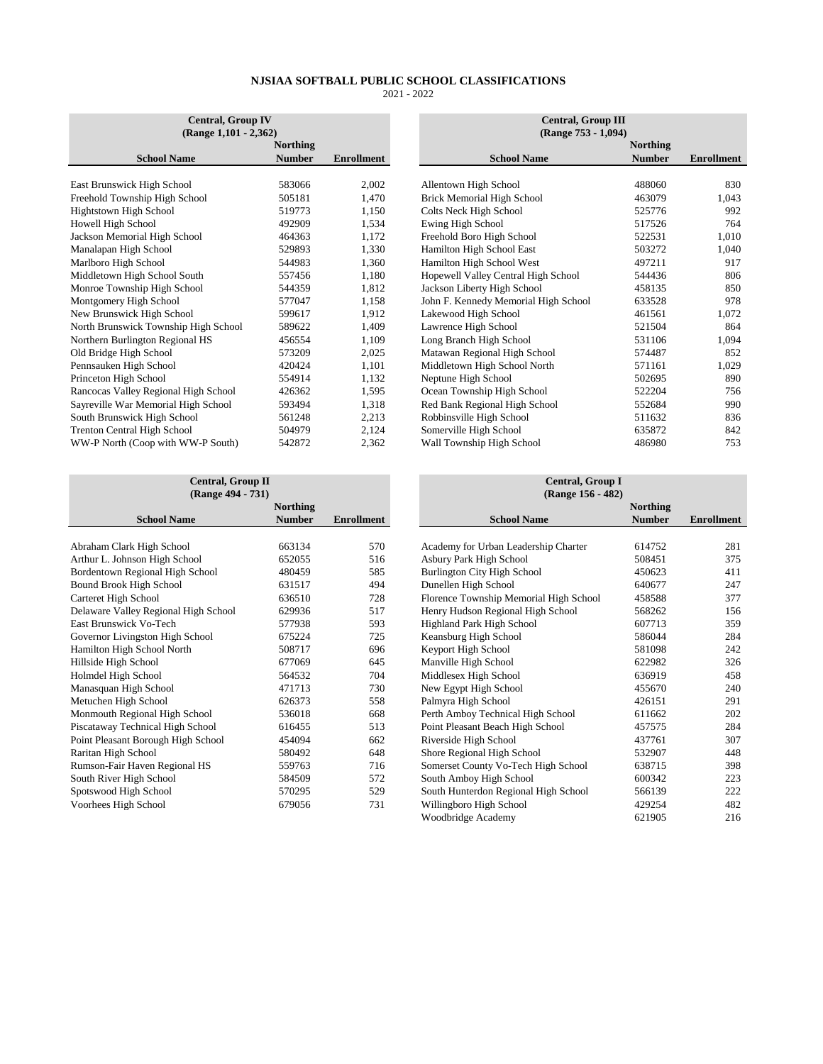| <b>Central, Group IV</b>             |                 |                   |  |  |  |  |  |
|--------------------------------------|-----------------|-------------------|--|--|--|--|--|
| (Range 1,101 - 2,362)                |                 |                   |  |  |  |  |  |
|                                      | <b>Northing</b> |                   |  |  |  |  |  |
| <b>School Name</b>                   | <b>Number</b>   | <b>Enrollment</b> |  |  |  |  |  |
|                                      |                 |                   |  |  |  |  |  |
| East Brunswick High School           | 583066          | 2,002             |  |  |  |  |  |
| Freehold Township High School        | 505181          | 1,470             |  |  |  |  |  |
| Hightstown High School               | 519773          | 1,150             |  |  |  |  |  |
| Howell High School                   | 492909          | 1,534             |  |  |  |  |  |
| Jackson Memorial High School         | 464363          | 1,172             |  |  |  |  |  |
| Manalapan High School                | 529893          | 1,330             |  |  |  |  |  |
| Marlboro High School                 | 544983          | 1,360             |  |  |  |  |  |
| Middletown High School South         | 557456          | 1,180             |  |  |  |  |  |
| Monroe Township High School          | 544359          | 1,812             |  |  |  |  |  |
| Montgomery High School               | 577047          | 1,158             |  |  |  |  |  |
| New Brunswick High School            | 599617          | 1,912             |  |  |  |  |  |
| North Brunswick Township High School | 589622          | 1,409             |  |  |  |  |  |
| Northern Burlington Regional HS      | 456554          | 1,109             |  |  |  |  |  |
| Old Bridge High School               | 573209          | 2,025             |  |  |  |  |  |
| Pennsauken High School               | 420424          | 1,101             |  |  |  |  |  |
| Princeton High School                | 554914          | 1,132             |  |  |  |  |  |
| Rancocas Valley Regional High School | 426362          | 1,595             |  |  |  |  |  |
| Sayreville War Memorial High School  | 593494          | 1,318             |  |  |  |  |  |
| South Brunswick High School          | 561248          | 2,213             |  |  |  |  |  |
| <b>Trenton Central High School</b>   | 504979          | 2,124             |  |  |  |  |  |
| WW-P North (Coop with WW-P South)    | 542872          | 2,362             |  |  |  |  |  |

| <b>Central, Group IV</b>                                 |                                      | <b>Central, Group III</b>              |
|----------------------------------------------------------|--------------------------------------|----------------------------------------|
| $(Range 1,101 - 2,362)$<br><b>Northing</b>               |                                      | (Range 753 - 1,094)<br><b>Northing</b> |
| <b>School Name</b><br><b>Number</b><br><b>Enrollment</b> | <b>School Name</b>                   | <b>Number</b>                          |
|                                                          |                                      |                                        |
| East Brunswick High School<br>2,002<br>583066            | Allentown High School                | 488060                                 |
| Freehold Township High School<br>505181<br>1,470         | <b>Brick Memorial High School</b>    | 463079                                 |
| <b>Hightstown High School</b><br>519773<br>1,150         | Colts Neck High School               | 525776                                 |
| Howell High School<br>492909<br>1,534                    | Ewing High School                    | 517526                                 |
| Jackson Memorial High School<br>1,172<br>464363          | Freehold Boro High School            | 522531                                 |
| Manalapan High School<br>529893<br>1,330                 | Hamilton High School East            | 503272                                 |
| Marlboro High School<br>544983<br>1,360                  | Hamilton High School West            | 497211                                 |
| Middletown High School South<br>1,180<br>557456          | Hopewell Valley Central High School  | 544436                                 |
| Monroe Township High School<br>544359<br>1,812           | Jackson Liberty High School          | 458135                                 |
| Montgomery High School<br>577047<br>1,158                | John F. Kennedy Memorial High School | 633528                                 |
| New Brunswick High School<br>1,912<br>599617             | Lakewood High School                 | 461561                                 |
| North Brunswick Township High School<br>1,409<br>589622  | Lawrence High School                 | 521504                                 |
| Northern Burlington Regional HS<br>1,109<br>456554       | Long Branch High School              | 531106                                 |
| Old Bridge High School<br>573209<br>2,025                | Matawan Regional High School         | 574487                                 |
| Pennsauken High School<br>420424<br>1,101                | Middletown High School North         | 571161                                 |
| Princeton High School<br>554914<br>1,132                 | Neptune High School                  | 502695                                 |
| Rancocas Valley Regional High School<br>426362<br>1,595  | Ocean Township High School           | 522204                                 |
| Sayreville War Memorial High School<br>1,318<br>593494   | Red Bank Regional High School        | 552684                                 |
| 2,213<br>South Brunswick High School<br>561248           | Robbinsville High School             | 511632                                 |
| <b>Trenton Central High School</b><br>2,124<br>504979    | Somerville High School               | 635872                                 |
| WW-P North (Coop with WW-P South)<br>542872<br>2.362     | Wall Township High School            | 486980                                 |

| <b>Central, Group II</b><br>(Range 494 - 731) |                 | <b>Central, Group I</b><br>(Range 156 - 482) |                                        |
|-----------------------------------------------|-----------------|----------------------------------------------|----------------------------------------|
|                                               | <b>Northing</b> |                                              |                                        |
| <b>School Name</b>                            | <b>Number</b>   | <b>Enrollment</b>                            | <b>School Name</b>                     |
|                                               |                 |                                              |                                        |
| Abraham Clark High School                     | 663134          | 570                                          | Academy for Urban Leadership Charter   |
| Arthur L. Johnson High School                 | 652055          | 516                                          | Asbury Park High School                |
| Bordentown Regional High School               | 480459          | 585                                          | Burlington City High School            |
| <b>Bound Brook High School</b>                | 631517          | 494                                          | Dunellen High School                   |
| Carteret High School                          | 636510          | 728                                          | Florence Township Memorial High School |
| Delaware Valley Regional High School          | 629936          | 517                                          | Henry Hudson Regional High School      |
| East Brunswick Vo-Tech                        | 577938          | 593                                          | Highland Park High School              |
| Governor Livingston High School               | 675224          | 725                                          | Keansburg High School                  |
| Hamilton High School North                    | 508717          | 696                                          | Keyport High School                    |
| Hillside High School                          | 677069          | 645                                          | Manville High School                   |
| Holmdel High School                           | 564532          | 704                                          | Middlesex High School                  |
| Manasquan High School                         | 471713          | 730                                          | New Egypt High School                  |
| Metuchen High School                          | 626373          | 558                                          | Palmyra High School                    |
| Monmouth Regional High School                 | 536018          | 668                                          | Perth Amboy Technical High School      |
| Piscataway Technical High School              | 616455          | 513                                          | Point Pleasant Beach High School       |
| Point Pleasant Borough High School            | 454094          | 662                                          | Riverside High School                  |
| Raritan High School                           | 580492          | 648                                          | Shore Regional High School             |
| Rumson-Fair Haven Regional HS                 | 559763          | 716                                          | Somerset County Vo-Tech High School    |
| South River High School                       | 584509          | 572                                          | South Amboy High School                |
| Spotswood High School                         | 570295          | 529                                          | South Hunterdon Regional High School   |
| Voorhees High School                          | 679056          | 731                                          | Willingboro High School                |

| <b>Central, Group II</b>             |                 |            | Central, Group I                       |                 |                   |  |  |
|--------------------------------------|-----------------|------------|----------------------------------------|-----------------|-------------------|--|--|
| (Range 494 - 731)                    |                 |            | (Range 156 - 482)                      |                 |                   |  |  |
|                                      | <b>Northing</b> |            |                                        | <b>Northing</b> |                   |  |  |
| <b>School Name</b>                   | <b>Number</b>   | Enrollment | <b>School Name</b>                     | <b>Number</b>   | <b>Enrollment</b> |  |  |
|                                      |                 |            |                                        |                 |                   |  |  |
| Abraham Clark High School            | 663134          | 570        | Academy for Urban Leadership Charter   | 614752          | 281               |  |  |
| Arthur L. Johnson High School        | 652055          | 516        | Asbury Park High School                | 508451          | 375               |  |  |
| Bordentown Regional High School      | 480459          | 585        | <b>Burlington City High School</b>     | 450623          | 411               |  |  |
| Bound Brook High School              | 631517          | 494        | Dunellen High School                   | 640677          | 247               |  |  |
| Carteret High School                 | 636510          | 728        | Florence Township Memorial High School | 458588          | 377               |  |  |
| Delaware Valley Regional High School | 629936          | 517        | Henry Hudson Regional High School      | 568262          | 156               |  |  |
| East Brunswick Vo-Tech               | 577938          | 593        | Highland Park High School              | 607713          | 359               |  |  |
| Governor Livingston High School      | 675224          | 725        | Keansburg High School                  | 586044          | 284               |  |  |
| Hamilton High School North           | 508717          | 696        | Keyport High School                    | 581098          | 242               |  |  |
| Hillside High School                 | 677069          | 645        | Manville High School                   | 622982          | 326               |  |  |
| Holmdel High School                  | 564532          | 704        | Middlesex High School                  | 636919          | 458               |  |  |
| Manasquan High School                | 471713          | 730        | New Egypt High School                  | 455670          | 240               |  |  |
| Metuchen High School                 | 626373          | 558        | Palmyra High School                    | 426151          | 291               |  |  |
| Monmouth Regional High School        | 536018          | 668        | Perth Amboy Technical High School      | 611662          | 202               |  |  |
| Piscataway Technical High School     | 616455          | 513        | Point Pleasant Beach High School       | 457575          | 284               |  |  |
| Point Pleasant Borough High School   | 454094          | 662        | Riverside High School                  | 437761          | 307               |  |  |
| Raritan High School                  | 580492          | 648        | Shore Regional High School             | 532907          | 448               |  |  |
| Rumson-Fair Haven Regional HS        | 559763          | 716        | Somerset County Vo-Tech High School    | 638715          | 398               |  |  |
| South River High School              | 584509          | 572        | South Amboy High School                | 600342          | 223               |  |  |
| Spotswood High School                | 570295          | 529        | South Hunterdon Regional High School   | 566139          | 222               |  |  |
| Voorhees High School                 | 679056          | 731        | Willingboro High School                | 429254          | 482               |  |  |
|                                      |                 |            | Woodbridge Academy                     | 621905          | 216               |  |  |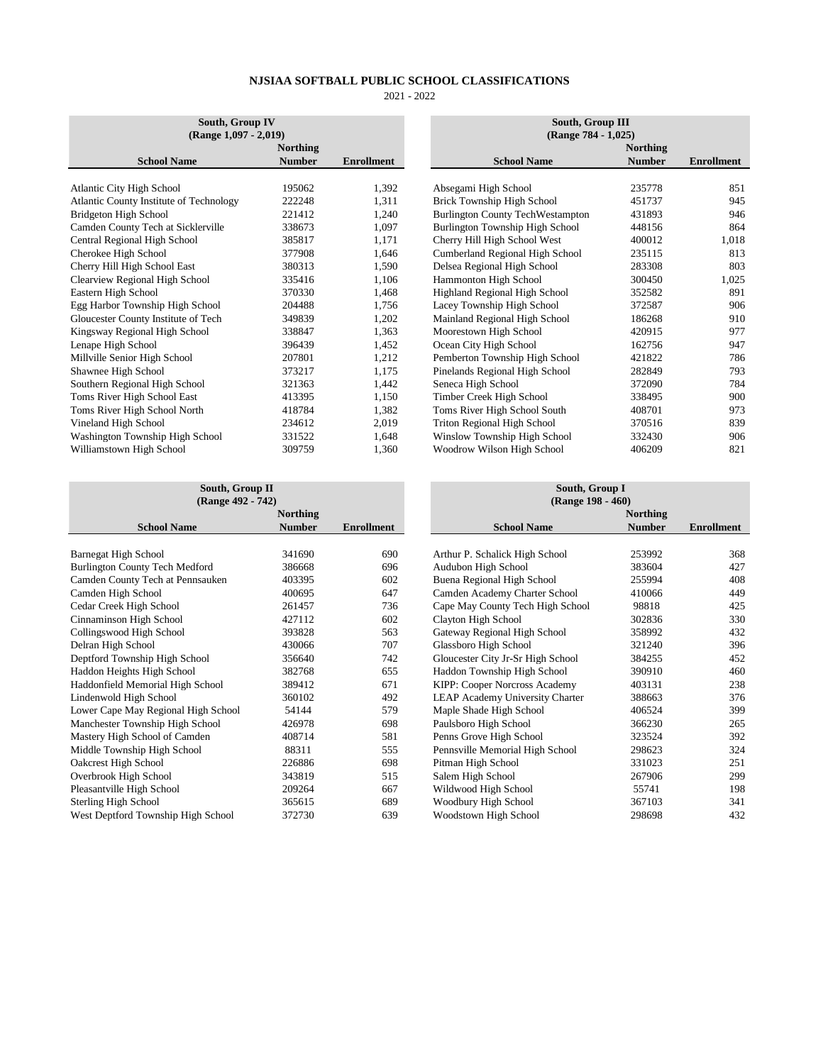| South, Group IV<br>$(Range 1,097 - 2,019)$     |                 |                   | South, Group III<br>(Range 784 - 1,025) |                 |                   |  |
|------------------------------------------------|-----------------|-------------------|-----------------------------------------|-----------------|-------------------|--|
|                                                | <b>Northing</b> |                   |                                         | <b>Northing</b> |                   |  |
| <b>School Name</b>                             | <b>Number</b>   | <b>Enrollment</b> | <b>School Name</b>                      | <b>Number</b>   | <b>Enrollment</b> |  |
|                                                |                 |                   |                                         |                 |                   |  |
| <b>Atlantic City High School</b>               | 195062          | 1,392             | Absegami High School                    | 235778          | 851               |  |
| <b>Atlantic County Institute of Technology</b> | 222248          | 1,311             | Brick Township High School              | 451737          | 945               |  |
| Bridgeton High School                          | 221412          | 1,240             | <b>Burlington County TechWestampton</b> | 431893          | 946               |  |
| Camden County Tech at Sicklerville             | 338673          | 1,097             | Burlington Township High School         | 448156          | 864               |  |
| Central Regional High School                   | 385817          | 1,171             | Cherry Hill High School West            | 400012          | 1,018             |  |
| Cherokee High School                           | 377908          | 1.646             | Cumberland Regional High School         | 235115          | 813               |  |
| Cherry Hill High School East                   | 380313          | 1,590             | Delsea Regional High School             | 283308          | 803               |  |
| Clearview Regional High School                 | 335416          | 1,106             | Hammonton High School                   | 300450          | 1,025             |  |
| Eastern High School                            | 370330          | 1,468             | Highland Regional High School           | 352582          | 891               |  |
| Egg Harbor Township High School                | 204488          | 1,756             | Lacey Township High School              | 372587          | 906               |  |
| Gloucester County Institute of Tech            | 349839          | 1,202             | Mainland Regional High School           | 186268          | 910               |  |
| Kingsway Regional High School                  | 338847          | 1,363             | Moorestown High School                  | 420915          | 977               |  |
| Lenape High School                             | 396439          | 1,452             | Ocean City High School                  | 162756          | 947               |  |
| Millville Senior High School                   | 207801          | 1,212             | Pemberton Township High School          | 421822          | 786               |  |
| Shawnee High School                            | 373217          | 1,175             | Pinelands Regional High School          | 282849          | 793               |  |
| Southern Regional High School                  | 321363          | 1,442             | Seneca High School                      | 372090          | 784               |  |
| Toms River High School East                    | 413395          | 1,150             | Timber Creek High School                | 338495          | 900               |  |
| Toms River High School North                   | 418784          | 1,382             | Toms River High School South            | 408701          | 973               |  |
| Vineland High School                           | 234612          | 2,019             | Triton Regional High School             | 370516          | 839               |  |
| Washington Township High School                | 331522          | 1,648             | Winslow Township High School            | 332430          | 906               |  |
| Williamstown High School                       | 309759          | 1,360             | Woodrow Wilson High School              | 406209          | 821               |  |

| <b>Northing</b>                     |               |                   | <b>Northing</b>                        |               |                   |  |
|-------------------------------------|---------------|-------------------|----------------------------------------|---------------|-------------------|--|
| <b>School Name</b>                  | <b>Number</b> | <b>Enrollment</b> | <b>School Name</b>                     | <b>Number</b> | <b>Enrollment</b> |  |
| <b>Barnegat High School</b>         | 341690        | 690               | Arthur P. Schalick High School         | 253992        | 368               |  |
| Burlington County Tech Medford      | 386668        | 696               | Audubon High School                    | 383604        | 427               |  |
| Camden County Tech at Pennsauken    | 403395        | 602               | Buena Regional High School             | 255994        | 408               |  |
| Camden High School                  | 400695        | 647               | Camden Academy Charter School          | 410066        | 449               |  |
| Cedar Creek High School             | 261457        | 736               | Cape May County Tech High School       | 98818         | 425               |  |
| Cinnaminson High School             | 427112        | 602               | Clayton High School                    | 302836        | 330               |  |
| Collingswood High School            | 393828        | 563               | Gateway Regional High School           | 358992        | 432               |  |
| Delran High School                  | 430066        | 707               | Glassboro High School                  | 321240        | 396               |  |
| Deptford Township High School       | 356640        | 742               | Gloucester City Jr-Sr High School      | 384255        | 452               |  |
| Haddon Heights High School          | 382768        | 655               | Haddon Township High School            | 390910        | 460               |  |
| Haddonfield Memorial High School    | 389412        | 671               | KIPP: Cooper Norcross Academy          | 403131        | 238               |  |
| Lindenwold High School              | 360102        | 492               | <b>LEAP Academy University Charter</b> | 388663        | 376               |  |
| Lower Cape May Regional High School | 54144         | 579               | Maple Shade High School                | 406524        | 399               |  |
| Manchester Township High School     | 426978        | 698               | Paulsboro High School                  | 366230        | 265               |  |
| Mastery High School of Camden       | 408714        | 581               | Penns Grove High School                | 323524        | 392               |  |
| Middle Township High School         | 88311         | 555               | Pennsville Memorial High School        | 298623        | 324               |  |
| Oakcrest High School                | 226886        | 698               | Pitman High School                     | 331023        | 251               |  |
| Overbrook High School               | 343819        | 515               | Salem High School                      | 267906        | 299               |  |
| Pleasantville High School           | 209264        | 667               | Wildwood High School                   | 55741         | 198               |  |
| <b>Sterling High School</b>         | 365615        | 689               | Woodbury High School                   | 367103        | 341               |  |
| West Deptford Township High School  | 372730        | 639               | Woodstown High School                  | 298698        | 432               |  |

|                    |                   | South, Group III                        |                                        |                   |  |  |  |  |  |
|--------------------|-------------------|-----------------------------------------|----------------------------------------|-------------------|--|--|--|--|--|
|                    |                   |                                         | (Range 784 - 1,025)<br><b>Northing</b> |                   |  |  |  |  |  |
| Northing<br>Number | <b>Enrollment</b> | <b>School Name</b>                      | <b>Number</b>                          | <b>Enrollment</b> |  |  |  |  |  |
|                    |                   |                                         |                                        |                   |  |  |  |  |  |
| 195062             | 1,392             | Absegami High School                    | 235778                                 | 851               |  |  |  |  |  |
| 222248             | 1,311             | Brick Township High School              | 451737                                 | 945               |  |  |  |  |  |
| 221412             | 1,240             | <b>Burlington County TechWestampton</b> | 431893                                 | 946               |  |  |  |  |  |
| 338673             | 1,097             | Burlington Township High School         | 448156                                 | 864               |  |  |  |  |  |
| 385817             | 1,171             | Cherry Hill High School West            | 400012                                 | 1,018             |  |  |  |  |  |
| 377908             | 1,646             | Cumberland Regional High School         | 235115                                 | 813               |  |  |  |  |  |
| 380313             | 1,590             | Delsea Regional High School             | 283308                                 | 803               |  |  |  |  |  |
| 335416             | 1,106             | Hammonton High School                   | 300450                                 | 1,025             |  |  |  |  |  |
| 370330             | 1,468             | Highland Regional High School           | 352582                                 | 891               |  |  |  |  |  |
| 204488             | 1,756             | Lacey Township High School              | 372587                                 | 906               |  |  |  |  |  |
| 349839             | 1,202             | Mainland Regional High School           | 186268                                 | 910               |  |  |  |  |  |
| 338847             | 1,363             | Moorestown High School                  | 420915                                 | 977               |  |  |  |  |  |
| 396439             | 1,452             | Ocean City High School                  | 162756                                 | 947               |  |  |  |  |  |
| 207801             | 1,212             | Pemberton Township High School          | 421822                                 | 786               |  |  |  |  |  |
| 373217             | 1,175             | Pinelands Regional High School          | 282849                                 | 793               |  |  |  |  |  |
| 321363             | 1,442             | Seneca High School                      | 372090                                 | 784               |  |  |  |  |  |
| 413395             | 1,150             | Timber Creek High School                | 338495                                 | 900               |  |  |  |  |  |
| 418784             | 1,382             | Toms River High School South            | 408701                                 | 973               |  |  |  |  |  |
| 234612             | 2,019             | <b>Triton Regional High School</b>      | 370516                                 | 839               |  |  |  |  |  |
| 331522             | 1,648             | Winslow Township High School            | 332430                                 | 906               |  |  |  |  |  |
| 309759             | 1,360             | Woodrow Wilson High School              | 406209                                 | 821               |  |  |  |  |  |

| South, Group II                    |                                        |                 |
|------------------------------------|----------------------------------------|-----------------|
| (Range 492 - 742)                  | South, Group I<br>(Range 198 - 460)    |                 |
| <b>Northing</b>                    |                                        | <b>Northing</b> |
| <b>Number</b><br><b>Enrollment</b> | <b>School Name</b>                     | <b>Number</b>   |
|                                    |                                        |                 |
| 341690<br>690                      | Arthur P. Schalick High School         | 253992          |
| 386668<br>696                      | Audubon High School                    | 383604          |
| 602<br>403395                      | Buena Regional High School             | 255994          |
| 647<br>400695                      | Camden Academy Charter School          | 410066          |
| 736<br>261457                      | Cape May County Tech High School       | 98818           |
| 427112<br>602                      | Clayton High School                    | 302836          |
| 563<br>393828                      | Gateway Regional High School           | 358992          |
| 430066<br>707                      | Glassboro High School                  | 321240          |
| 356640<br>742                      | Gloucester City Jr-Sr High School      | 384255          |
| 382768<br>655                      | Haddon Township High School            | 390910          |
| 389412<br>671                      | KIPP: Cooper Norcross Academy          | 403131          |
| 360102<br>492                      | <b>LEAP Academy University Charter</b> | 388663          |
| 579<br>54144                       | Maple Shade High School                | 406524          |
| 698<br>426978                      | Paulsboro High School                  | 366230          |
| 581<br>408714                      | Penns Grove High School                | 323524          |
| 88311<br>555                       | Pennsville Memorial High School        | 298623          |
| 226886<br>698                      | Pitman High School                     | 331023          |
| 343819<br>515                      | Salem High School                      | 267906          |
| 667<br>209264                      | Wildwood High School                   | 55741           |
| 365615<br>689                      | Woodbury High School                   | 367103          |
| 639<br>372730                      | Woodstown High School                  | 298698          |